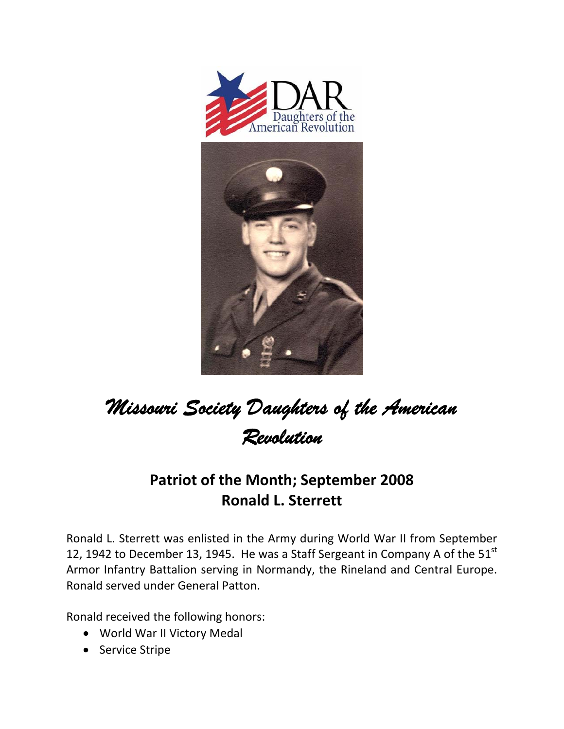



## *Missouri Society Daughters of the American Revolution*

## **Patriot of the Month; September 2008 Ronald L. Sterrett**

Ronald L. Sterrett was enlisted in the Army during World War II from September 12, 1942 to December 13, 1945. He was a Staff Sergeant in Company A of the  $51<sup>st</sup>$ Armor Infantry Battalion serving in Normandy, the Rineland and Central Europe. Ronald served under General Patton.

Ronald received the following honors:

- World War II Victory Medal
- Service Stripe